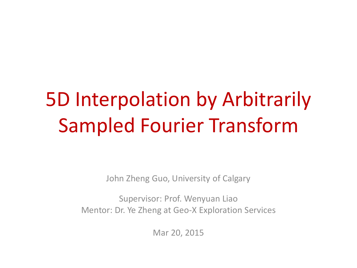# 5D Interpolation by Arbitrarily Sampled Fourier Transform

John Zheng Guo, University of Calgary

Supervisor: Prof. Wenyuan Liao Mentor: Dr. Ye Zheng at Geo-X Exploration Services

Mar 20, 2015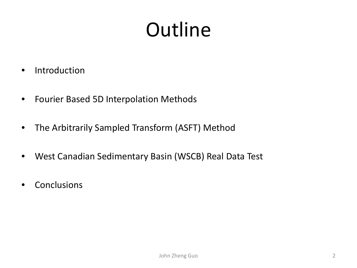# **Outline**

- Introduction
- Fourier Based 5D Interpolation Methods
- The Arbitrarily Sampled Transform (ASFT) Method
- West Canadian Sedimentary Basin (WSCB) Real Data Test
- Conclusions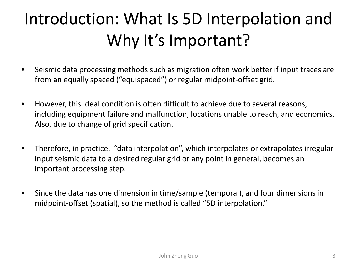## Introduction: What Is 5D Interpolation and Why It's Important?

- Seismic data processing methods such as migration often work better if input traces are from an equally spaced ("equispaced") or regular midpoint-offset grid.
- However, this ideal condition is often difficult to achieve due to several reasons, including equipment failure and malfunction, locations unable to reach, and economics. Also, due to change of grid specification.
- Therefore, in practice, "data interpolation", which interpolates or extrapolates irregular input seismic data to a desired regular grid or any point in general, becomes an important processing step.
- Since the data has one dimension in time/sample (temporal), and four dimensions in midpoint-offset (spatial), so the method is called "5D interpolation."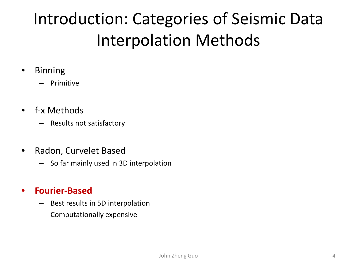## Introduction: Categories of Seismic Data Interpolation Methods

- Binning
	- Primitive
- f-x Methods
	- Results not satisfactory
- Radon, Curvelet Based
	- So far mainly used in 3D interpolation

#### • **Fourier-Based**

- Best results in 5D interpolation
- Computationally expensive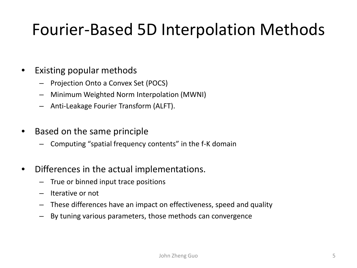## Fourier-Based 5D Interpolation Methods

#### Existing popular methods

- Projection Onto a Convex Set (POCS)
- Minimum Weighted Norm Interpolation (MWNI)
- Anti-Leakage Fourier Transform (ALFT).
- Based on the same principle
	- Computing "spatial frequency contents" in the f-K domain
- Differences in the actual implementations.
	- True or binned input trace positions
	- Iterative or not
	- These differences have an impact on effectiveness, speed and quality
	- By tuning various parameters, those methods can convergence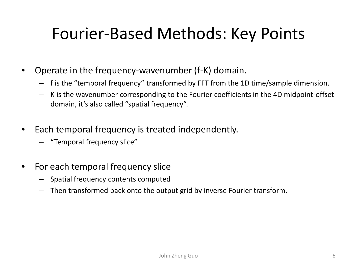## Fourier-Based Methods: Key Points

- Operate in the frequency-wavenumber (f-K) domain.
	- f is the "temporal frequency" transformed by FFT from the 1D time/sample dimension.
	- K is the wavenumber corresponding to the Fourier coefficients in the 4D midpoint-offset domain, it's also called "spatial frequency".
- Each temporal frequency is treated independently.
	- "Temporal frequency slice"
- For each temporal frequency slice
	- Spatial frequency contents computed
	- Then transformed back onto the output grid by inverse Fourier transform.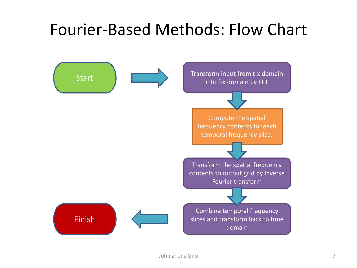## Fourier-Based Methods: Flow Chart

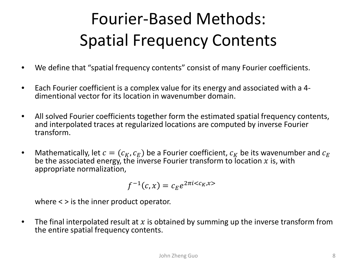## Fourier-Based Methods: Spatial Frequency Contents

- We define that "spatial frequency contents" consist of many Fourier coefficients.
- Each Fourier coefficient is a complex value for its energy and associated with a 4- dimentional vector for its location in wavenumber domain.
- All solved Fourier coefficients together form the estimated spatial frequency contents, and interpolated traces at regularized locations are computed by inverse Fourier transform.
- Mathematically, let  $c = (c_K, c_F)$  be a Fourier coefficient,  $c_K$  be its wavenumber and  $c_F$ be the associated energy, the inverse Fourier transform to location  $x$  is, with appropriate normalization,

$$
f^{-1}(c,x)=c_Ee^{2\pi i\langle c_K,x\rangle}
$$

where < > is the inner product operator.

• The final interpolated result at x is obtained by summing up the inverse transform from the entire spatial frequency contents.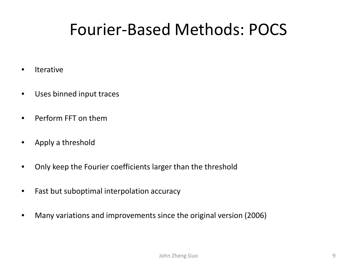## Fourier-Based Methods: POCS

- **Iterative**
- Uses binned input traces
- Perform FFT on them
- Apply a threshold
- Only keep the Fourier coefficients larger than the threshold
- Fast but suboptimal interpolation accuracy
- Many variations and improvements since the original version (2006)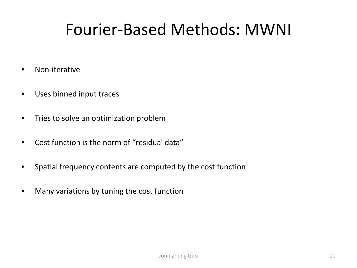## Fourier-Based Methods: MWNI

- Non-iterative
- Uses binned input traces
- Tries to solve an optimization problem
- Cost function is the norm of "residual data"
- Spatial frequency contents are computed by the cost function
- Many variations by tuning the cost function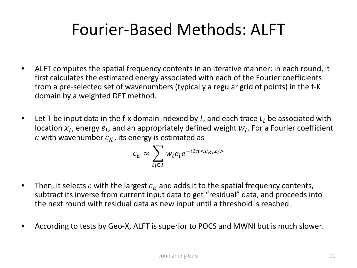## Fourier-Based Methods: ALFT

- ALFT computes the spatial frequency contents in an iterative manner: in each round, it first calculates the estimated energy associated with each of the Fourier coefficients from a pre-selected set of wavenumbers (typically a regular grid of points) in the f-K domain by a weighted DFT method.
- Let T be input data in the f-x domain indexed by l, and each trace  $t_1$  be associated with location  $x_l$ , energy  $e_l$ , and an appropriately defined weight  $w_l$ . For a Fourier coefficient c with wavenumber  $c_K$ , its energy is estimated as

$$
c_E \approx \sum_{t_l \in T} w_l e_l e^{-i2\pi \langle c_K, x_l \rangle}
$$

- Then, it selects c with the largest  $c_F$  and adds it to the spatial frequency contents, subtract its inverse from current input data to get "residual" data, and proceeds into the next round with residual data as new input until a threshold is reached.
- According to tests by Geo-X, ALFT is superior to POCS and MWNI but is much slower.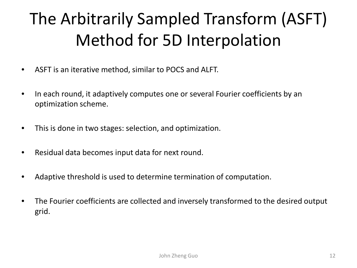## The Arbitrarily Sampled Transform (ASFT) Method for 5D Interpolation

- ASFT is an iterative method, similar to POCS and ALFT.
- In each round, it adaptively computes one or several Fourier coefficients by an optimization scheme.
- This is done in two stages: selection, and optimization.
- Residual data becomes input data for next round.
- Adaptive threshold is used to determine termination of computation.
- The Fourier coefficients are collected and inversely transformed to the desired output grid.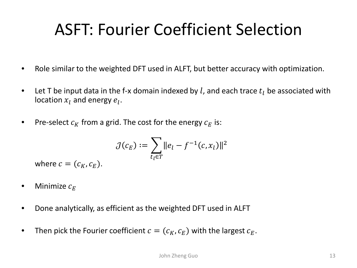## ASFT: Fourier Coefficient Selection

- Role similar to the weighted DFT used in ALFT, but better accuracy with optimization.
- Let T be input data in the f-x domain indexed by l, and each trace  $t_l$  be associated with location  $x_l$  and energy  $e_l$ .
- Pre-select  $c_K$  from a grid. The cost for the energy  $c_F$  is:

$$
\mathcal{J}(c_E) := \sum_{t_l \in T} ||e_l - f^{-1}(c, x_l)||^2
$$

where  $c = (c_K, c_F)$ .

- Minimize  $c_F$
- Done analytically, as efficient as the weighted DFT used in ALFT
- Then pick the Fourier coefficient  $c = (c_K, c_F)$  with the largest  $c_F$ .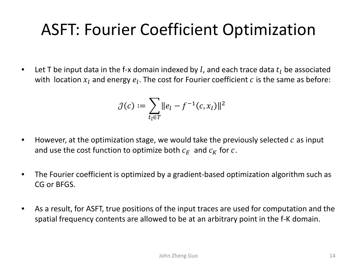## ASFT: Fourier Coefficient Optimization

• Let T be input data in the f-x domain indexed by l, and each trace data  $t_1$  be associated with location  $x_i$  and energy  $e_i$ . The cost for Fourier coefficient  $c$  is the same as before:

$$
\mathcal{J}(c) := \sum_{t_l \in T} ||e_l - f^{-1}(c, x_l)||^2
$$

- However, at the optimization stage, we would take the previously selected  $c$  as input and use the cost function to optimize both  $c_F$  and  $c_K$  for c.
- The Fourier coefficient is optimized by a gradient-based optimization algorithm such as CG or BFGS.
- As a result, for ASFT, true positions of the input traces are used for computation and the spatial frequency contents are allowed to be at an arbitrary point in the f-K domain.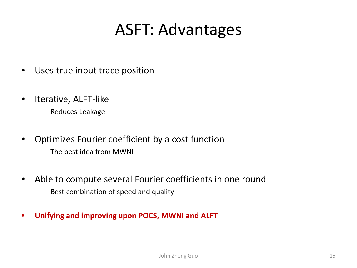## ASFT: Advantages

- Uses true input trace position
- Iterative, ALFT-like
	- Reduces Leakage
- Optimizes Fourier coefficient by a cost function
	- The best idea from MWNI
- Able to compute several Fourier coefficients in one round
	- Best combination of speed and quality
- **Unifying and improving upon POCS, MWNI and ALFT**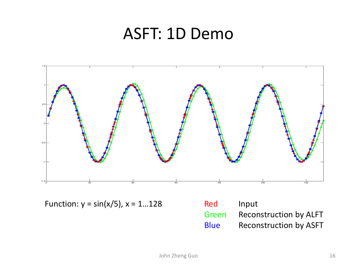#### ASFT: 1D Demo



Function:  $y = \sin(x/5)$ ,  $x = 1...128$ 

| Red         | Input                         |
|-------------|-------------------------------|
| Green       | <b>Reconstruction by ALFT</b> |
| <b>Blue</b> | <b>Reconstruction by ASFT</b> |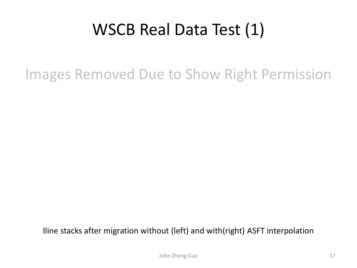## WSCB Real Data Test (1)

Images Removed Due to Show Right Permission

Iline stacks after migration without (left) and with(right) ASFT interpolation

John Zheng Guo 17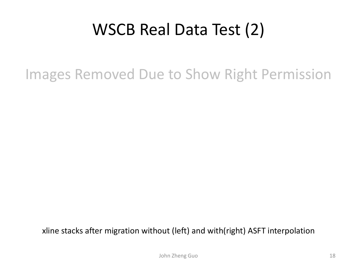## WSCB Real Data Test (2)

Images Removed Due to Show Right Permission

xline stacks after migration without (left) and with(right) ASFT interpolation

John Zheng Guo 18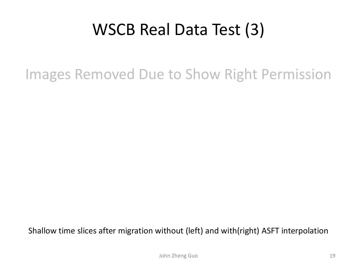## WSCB Real Data Test (3)

Images Removed Due to Show Right Permission

Shallow time slices after migration without (left) and with(right) ASFT interpolation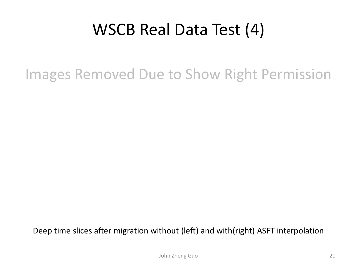## WSCB Real Data Test (4)

Images Removed Due to Show Right Permission

Deep time slices after migration without (left) and with(right) ASFT interpolation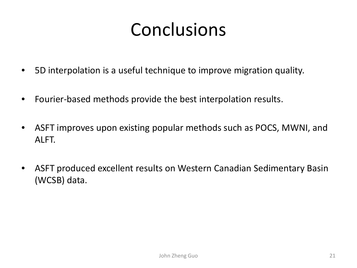## Conclusions

- 5D interpolation is a useful technique to improve migration quality.
- Fourier-based methods provide the best interpolation results.
- ASFT improves upon existing popular methods such as POCS, MWNI, and ALFT.
- ASFT produced excellent results on Western Canadian Sedimentary Basin (WCSB) data.